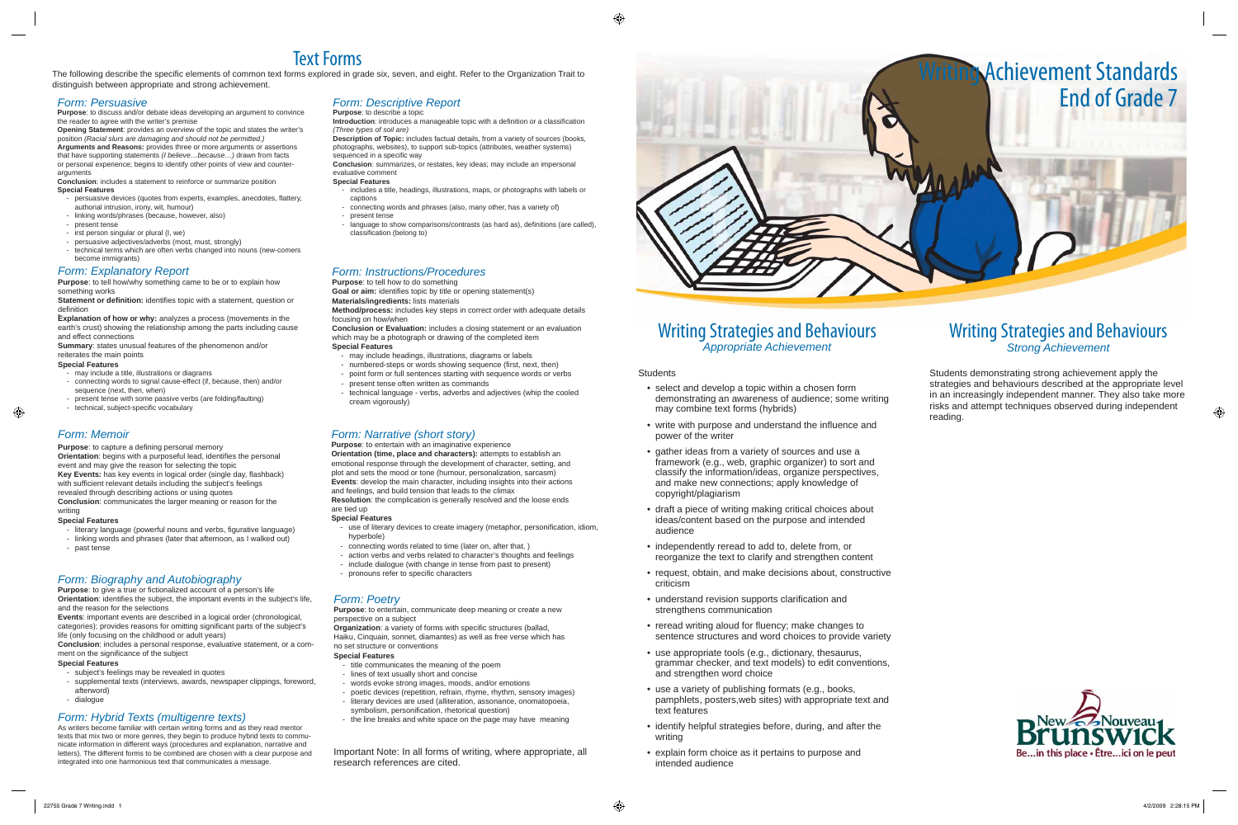## Writing Strategies and Behaviours *Appropriate Achievement*

**Students** 

- select and develop a topic within a chosen form demonstrating an awareness of audience; some writing may combine text forms (hybrids)
- write with purpose and understand the influence and power of the writer
- gather ideas from a variety of sources and use a framework (e.g., web, graphic organizer) to sort and classify the information/ideas, organize perspectives, and make new connections; apply knowledge of copyright/plagiarism
- draft a piece of writing making critical choices about ideas/content based on the purpose and intended audience
- independently reread to add to, delete from, or reorganize the text to clarify and strengthen content
- request, obtain, and make decisions about, constructive criticism
- understand revision supports clarification and strengthens communication
- reread writing aloud for fluency; make changes to sentence structures and word choices to provide variety
- use appropriate tools (e.g., dictionary, thesaurus, grammar checker, and text models) to edit conventions, and strengthen word choice
- use a variety of publishing formats (e.g., books, pamphlets, posters,web sites) with appropriate text and text features
- identify helpful strategies before, during, and after the writing
- explain form choice as it pertains to purpose and intended audience

The following describe the specific elements of common text forms explored in grade six, seven, and eight. Refer to the Organization Trait to distinguish between appropriate and strong achievement.

- persuasive devices (quotes from experts, examples, anecdotes, flattery, authorial intrusion, irony, wit, humour)
- linking words/phrases (because, however, also)
- present tense
- irst person singular or plural (I, we)
- persuasive adjectives/adverbs (most, must, strongly)
- technical terms which are often verbs changed into nouns (new-comers become immigrants)

**Introduction**: introduces a manageable topic with a definition or a classification *(Three types of soil are)*

**Description of Topic:** includes factual details, from a variety of sources (books, photographs, websites), to support sub-topics (attributes, weather systems) sequenced in a specific way

## Writing Strategies and Behaviours *Strong Achievement*

# Text Forms

- includes a title, headings, illustrations, maps, or photographs with labels or captions
- connecting words and phrases (also, many other, has a variety of)
- present tense
- language to show comparisons/contrasts (as hard as), definitions (are called), classification (belong to)

## *Form: Persuasive*

**Purpose**: to discuss and/or debate ideas developing an argument to convince the reader to agree with the writer's premise

> **Organization**: a variety of forms with specific structures (ballad, Haiku, Cinquain, sonnet, diamantes) as well as free verse which has no set structure or conventions

**Opening Statement**: provides an overview of the topic and states the writer's position *(Racial slurs are damaging and should not be permitted.)* **Arguments and Reasons:** provides three or more arguments or assertions that have supporting statements *(I believe…because…)* drawn from facts or personal experience; begins to identify other points of view and counter-

- title communicates the meaning of the poem
- lines of text usually short and concise
- words evoke strong images, moods, and/or emotions
- poetic devices (repetition, refrain, rhyme, rhythm, sensory images) - literary devices are used (alliteration, assonance, onomatopoeia,
- symbolism, personification, rhetorical question)
- the line breaks and white space on the page may have meaning

arguments **Conclusion**: includes a statement to reinforce or summarize position **Special Features**

> **Goal or aim:** identifies topic by title or opening statement(s) **Materials/ingredients:** lists materials

## *Form: Descriptive Report*

#### **Purpose**: to describe a topic

- use of literary devices to create imagery (metaphor, personification, idiom, hyperbole)
- connecting words related to time (later on, after that, )
- action verbs and verbs related to character's thoughts and feelings
- include dialogue (with change in tense from past to present)
- 

**Conclusion**: summarizes, or restates, key ideas; may include an impersonal evaluative comment

**Purpose**: to give a true or fictionalized account of a person's life **Orientation**: identifies the subject, the important events in the subject's life, and the reason for the selections

#### **Special Features**

**Conclusion**: includes a personal response, evaluative statement, or a comment on the significance of the subject



Students demonstrating strong achievement apply the strategies and behaviours described at the appropriate level in an increasingly independent manner. They also take more risks and attempt techniques observed during independent reading.



- may include a title, illustrations or diagrams
- connecting words to signal cause-effect (if, because, then) and/or sequence (next, then, when)
- present tense with some passive verbs (are folding/faulting)
- technical, subject-specific vocabulary

## *Form: Poetry*

**Purpose**: to entertain, communicate deep meaning or create a new perspective on a subject

**Orientation**: begins with a purposeful lead, identifies the personal event and may give the reason for selecting the topic Key Events: has key events in logical order (single day, flashback) with sufficient relevant details including the subject's feelings revealed through describing actions or using quotes **Conclusion**: communicates the larger meaning or reason for the writing

#### **Special Features**

- literary language (powerful nouns and verbs, figurative language)
- linking words and phrases (later that afternoon, as I walked out)
- past tense

## Form: Biography and Autobiography **Form: Biography and Autobiography Form: Form:** Biography **and Autobiography**

#### *Form: Instructions/Procedures* **Purpose**: to tell how to do something

**Method/process:** includes key steps in correct order with adequate details focusing on how/when

**Conclusion or Evaluation:** includes a closing statement or an evaluation which may be a photograph or drawing of the completed item **Special Features**

- may include headings, illustrations, diagrams or labels
- numbered-steps or words showing sequence (first, next, then)
- point form or full sentences starting with sequence words or verbs
- present tense often written as commands
- technical language verbs, adverbs and adjectives (whip the cooled cream vigorously)

## *Form: Narrative (short story)*

**Purpose**: to entertain with an imaginative experience

- **Explanation of how or why:** analyzes a process (movements in the earth's crust) showing the relationship among the parts including cause and effect connections

> **Orientation (time, place and characters):** attempts to establish an emotional response through the development of character, setting, and plot and sets the mood or tone (humour, personalization, sarcasm) **Events**: develop the main character, including insights into their actions and feelings, and build tension that leads to the climax **Resolution**: the complication is generally resolved and the loose ends

#### are tied up **Special Features**

**Events**: important events are described in a logical order (chronological, categories); provides reasons for omitting significant parts of the subject's life (only focusing on the childhood or adult years)

### **Special Features**

- subject's feelings may be revealed in quotes
- supplemental texts (interviews, awards, newspaper clippings, foreword, afterword)
- dialogue

### *Form: Explanatory Report*

**Purpose**: to tell how/why something came to be or to explain how something works

**Statement or definition:** identifies topic with a statement, question or definition

**Summary**: states unusual features of the phenomenon and/or reiterates the main points

#### **Special Features**

## *Form: Memoir*

**Purpose:** to capture a defining personal memory

#### **Special Features**

## *Form: Hybrid Texts (multigenre texts)*

As writers become familiar with certain writing forms and as they read mentor texts that mix two or more genres, they begin to produce hybrid texts to communicate information in different ways (procedures and explanation, narrative and letters). The different forms to be combined are chosen with a clear purpose and integrated into one harmonious text that communicates a message.

Important Note: In all forms of writing, where appropriate, all research references are cited.